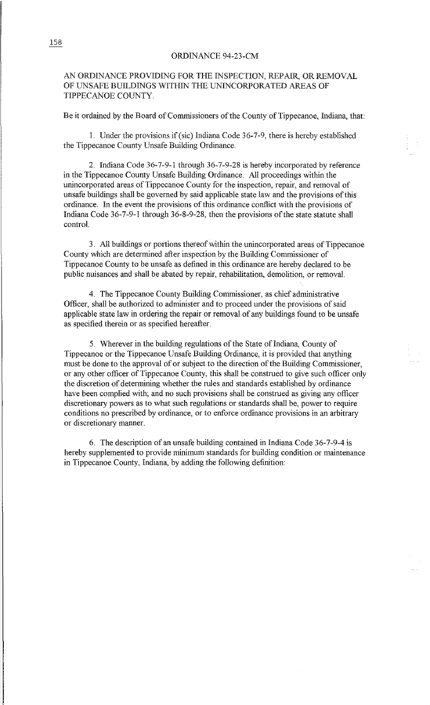## ORDINANCE 94-23-CM

## AN ORDINANCE PROVIDING FOR THE INSPECTION, REPAIR, OR REMOVAL OF UNSAFE BUILDINGS WITHIN THE UNINCORPORATED AREAS OF TIPPECANOE COUNTY

Be it ordained by the Board of Commissioners of the County of Tippecanoe, Indiana, that:

1. Under the provisions if(sic) Indiana Code 36-7-9, there is hereby established the Tippecanoe County Unsafe Building Ordinance.

2. Indiana Code 36-7-9-1 through 36-7-9-28 is hereby incorporated by reference in the Tippecanoe County Unsafe Building Ordinance. All proceedings within the unincorporated areas of Tippecanoe County for the inspection, repair, and removal of unsafe buildings shall be governed by said applicable state law and the provisions of this ordinance. In the event the provisions of this ordinance conflict with the provisions of Indiana Code  $36-7-9-1$  through  $36-8-9-28$ , then the provisions of the state statute shall control.

3. All buildings or portions thereof within the unincorporated areas of Tippecanoe County which are determined after inspection by the Building Commissioner of Tippecanoe County to be unsafe as defined in this ordinance are hereby declared to be public nuisances and shall be abated by repair, rehabilitation, demolition, or removal.

4. The Tippecanoe County Building Commissioner, as chief administrative Officer, shall be authorized to administer and to proceed under the provisions of said applicable state law in ordering the repair or removal of any buildings found to be unsafe as specified therein or as specified hereafter.

5. Wherever in the building regulations of the State of Indiana, County of Tippecanoe or the Tippecanoe Unsafe Building Ordinance, it is provided that anything must be done to the approval of or subject to the direction of the Building Commissioner, or any other officer of Tippecanoe County, this shall be construed to give such officer only the discretion of determining whether the rules and standards established by ordinance have been complied with; and no such provisions shall be construed as giving any officer discretionary powers as to what such regulations or standards shall be, power to require conditions no prescribed by ordinance, or to enforce ordinance provisions in an arbitrary or discretionary manner.

6. The description of an unsafe building contained in Indiana Code 36-7-9-4 is hereby supplemented to provide minimum standards for building condition or maintenance in Tippecanoe County, Indiana, by adding the following definition:

158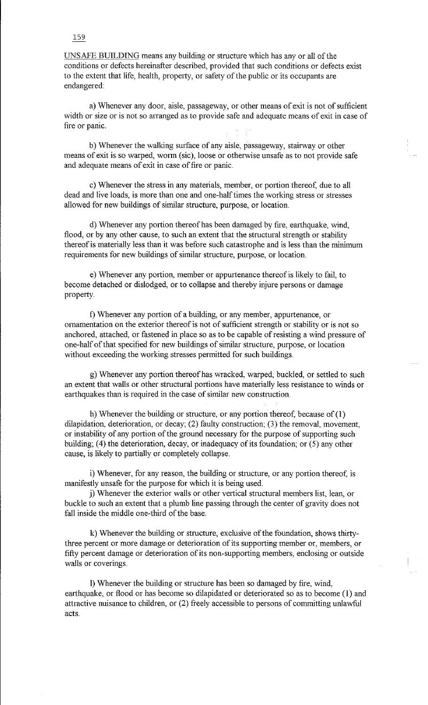UNSAFE BUILDING means any building or structure which has any or all of the conditions or defects hereinafter described, provided that such conditions or defects exist to the extent that life, health, property, or safety of the public or its occupants are endangered:

a) Whenever any door, aisle, passageway, or other means of exit is not of sufficient width or size or is not so arranged as to provide safe and adequate means of exit in case of fire or panic.

b) Whenever the walking surface of any aisle, passageway, stairway or other means of exit is so warped, worm (sic), loose or otherwise unsafe as to not provide safe and adequate means of exit in case of fire or panic.

c) Whenever the stress in any materials, member, or portion thereof, due to all dead and live loads, is more than one and one-half times the working stress or stresses allowed for new buildings of similar structure, purpose, or location.

d) Whenever any portion thereof has been damaged by fire, earthquake, wind, flood, or by any other cause, to such an extent that the structural strength or stability thereof is materially less than it was before such catastrophe and is less than the minimum requirements for new buildings of similar structure, purpose, or location.

e) Whenever any portion, member or appurtenance thereof is likely to fail, to become detached or dislodged, or to collapse and thereby injure persons or damage property.

f) Whenever any portion of a building, or any member, appurtenance, or ornamentation on the exterior thereof is not of sufficient strength or stability or is not so anchored, attached, or fastened in place so as to be capable of resisting a wind pressure of one-half of that specified for new buildings of similar structure, purpose, or location without exceeding the working stresses permitted for such buildings.

g) Whenever any portion thereof has wracked, warped, buckled, or settled to such an extent that walls or other structural portions have materially less resistance to winds or earthquakes than is required in the case of similar new construction.

h) Whenever the building or structure, or any portion thereof, because of (1) dilapidation, deterioration, or decay; (2) faulty construction; (3) the removal, movement, or instability of any portion of the ground necessary for the purpose of supporting such building; (4) the deterioration, decay, or inadequacy of its foundation; or (5) any other cause, is likely to partially or completely collapse.

i) Whenever, for any reason, the building or structure, or any portion thereof, is manifestly unsafe for the purpose for which it is being used.

j) Whenever the exterior walls or other vertical structural members list, lean, or buckle to such an extent that a plumb line passing through the center of gravity does not fall inside the middle one-third of the base.

k) Whenever the building or structure, exclusive of the foundation, shows thirtythree percent or more damage or deterioration of its supporting member or, members, or fifty percent damage or deterioration of its non-supporting members, enclosing or outside walls or coverings.

I) Whenever the building or structure has been so damaged by fire, wind, earthquake, or flood or has become so dilapidated or deteriorated so as to become ( 1) and attractive nuisance to children, or (2) freely accessible to persons of committing unlawful acts.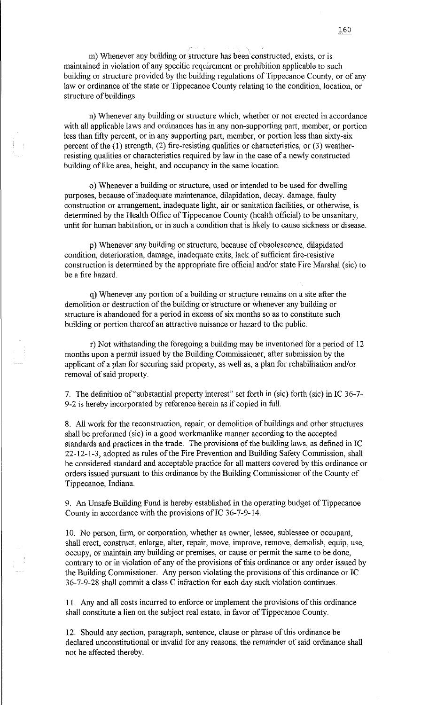m) Whenever any building or structure has been constructed, exists, or is maintained in violation of any specific requirement or prohibition applicable to such building or structure provided by the building regulations of Tippecanoe County, or of any law or ordinance of the state or Tippecanoe County relating to the condition, location, or structure of buildings.

n) Whenever any building or structure which, whether or not erected in accordance with all applicable laws and ordinances has in any non-supporting part, member, or portion less than fifty percent, or in any supporting part, member, or portion less than sixty-six percent of the (1) strength, (2) fire-resisting qualities or characteristics, or (3) weatherresisting qualities or characteristics required by law in the case of a newly constructed building of like area, height, and occupancy in the same location.

o) Whenever a building or structure, used or intended to be used for dwelling purposes, because of inadequate maintenance, dilapidation, decay, damage, faulty construction or arrangement, inadequate light, air or sanitation facilities, or otherwise, is determined by the Health Office of Tippecanoe County (health official) to be unsanitary, unfit for human habitation, or in such a condition that is likely to cause sickness or disease.

p) Whenever any building or structure, because of obsolescence, dilapidated condition, deterioration, damage, inadequate exits, lack of sufficient fire-resistive construction is determined by the appropriate fire official and/or state Fire Marshal (sic) to be a fire hazard.

q) Whenever any portion of a building or structure remains on a site after the demolition or destruction of the building or structure or whenever any building or structure is abandoned for a period in excess of six months so as to constitute such building or portion thereof an attractive nuisance or hazard to the public.

r) Not withstanding the foregoing a building may be inventoried for a period of 12 months upon a permit issued by the Building Commissioner, after submission by the applicant of a plan for securing said property, as well as, a plan for rehabilitation and/or removal of said property.

7. The definition of "substantial property interest" set forth in (sic) forth (sic) in IC 36-7- 9-2 is hereby incorporated by reference herein as if copied in full.

8. All work for the reconstruction, repair, or demolition of buildings and other structures shall be preformed (sic) in a good workmanlike manner according to the accepted standards and practices in the trade. The provisions of the building laws, as defined in IC 22-12-1-3, adopted as rules of the Fire Prevention and Building Safety Commission, shall be considered standard and acceptable practice for all matters covered by this ordinance or orders issued pursuant to this ordinance by the Building Commissioner of the County of Tippecanoe, Indiana.

9. An Unsafe Building Fund is hereby established in the operating budget of Tippecanoe County in accordance with the provisions of IC 36-7-9-14.

10. No person, firm, or corporation, whether as owner, lessee, sublessee or occupant, shall erect, construct, enlarge, alter, repair, move, improve, remove, demolish, equip, use, occupy, or maintain any building or premises, or cause or permit the same to be done, contrary to or in violation of any of the provisions of this ordinance or any order issued by the Building Commissioner. Any person violating the provisions of this ordinance or IC 3 6-7-9-28 shall commit a class C infraction for each day such violation continues.

11. Any and all costs incurred to enforce or implement the provisions of this ordinance shall constitute a lien on the subject real estate, in favor of Tippecanoe County.

12. Should any section, paragraph, sentence, clause or phrase of this ordinance be declared unconstitutional or invalid for any reasons, the remainder of said ordinance shall not be affected thereby.